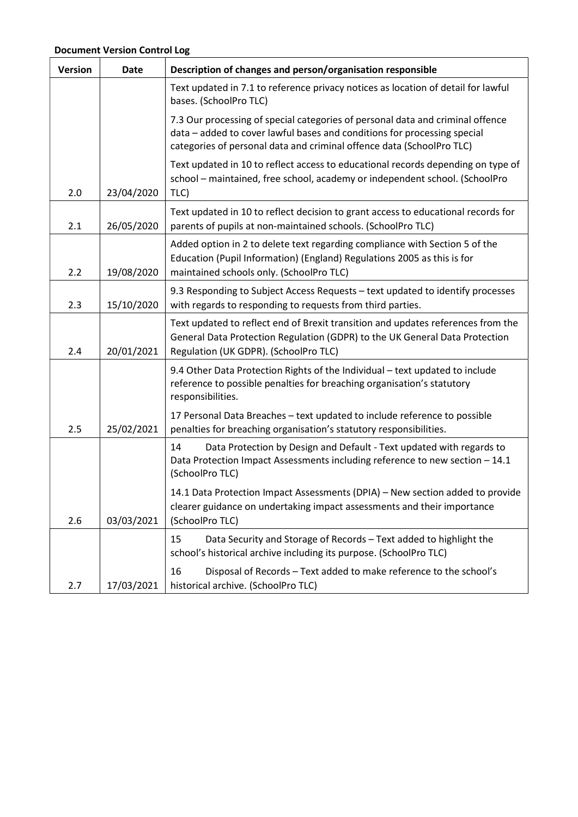| <b>Version</b> | <b>Date</b> | Description of changes and person/organisation responsible                                                                                                                                                                          |
|----------------|-------------|-------------------------------------------------------------------------------------------------------------------------------------------------------------------------------------------------------------------------------------|
|                |             | Text updated in 7.1 to reference privacy notices as location of detail for lawful<br>bases. (SchoolPro TLC)                                                                                                                         |
|                |             | 7.3 Our processing of special categories of personal data and criminal offence<br>data - added to cover lawful bases and conditions for processing special<br>categories of personal data and criminal offence data (SchoolPro TLC) |
| 2.0            | 23/04/2020  | Text updated in 10 to reflect access to educational records depending on type of<br>school - maintained, free school, academy or independent school. (SchoolPro<br>TLC)                                                             |
| 2.1            | 26/05/2020  | Text updated in 10 to reflect decision to grant access to educational records for<br>parents of pupils at non-maintained schools. (SchoolPro TLC)                                                                                   |
| 2.2            | 19/08/2020  | Added option in 2 to delete text regarding compliance with Section 5 of the<br>Education (Pupil Information) (England) Regulations 2005 as this is for<br>maintained schools only. (SchoolPro TLC)                                  |
| 2.3            | 15/10/2020  | 9.3 Responding to Subject Access Requests - text updated to identify processes<br>with regards to responding to requests from third parties.                                                                                        |
| 2.4            | 20/01/2021  | Text updated to reflect end of Brexit transition and updates references from the<br>General Data Protection Regulation (GDPR) to the UK General Data Protection<br>Regulation (UK GDPR). (SchoolPro TLC)                            |
|                |             | 9.4 Other Data Protection Rights of the Individual - text updated to include<br>reference to possible penalties for breaching organisation's statutory<br>responsibilities.                                                         |
| 2.5            | 25/02/2021  | 17 Personal Data Breaches - text updated to include reference to possible<br>penalties for breaching organisation's statutory responsibilities.                                                                                     |
|                |             | 14<br>Data Protection by Design and Default - Text updated with regards to<br>Data Protection Impact Assessments including reference to new section - 14.1<br>(SchoolPro TLC)                                                       |
| 2.6            | 03/03/2021  | 14.1 Data Protection Impact Assessments (DPIA) - New section added to provide<br>clearer guidance on undertaking impact assessments and their importance<br>(SchoolPro TLC)                                                         |
|                |             | Data Security and Storage of Records - Text added to highlight the<br>15<br>school's historical archive including its purpose. (SchoolPro TLC)                                                                                      |
| 2.7            | 17/03/2021  | 16<br>Disposal of Records - Text added to make reference to the school's<br>historical archive. (SchoolPro TLC)                                                                                                                     |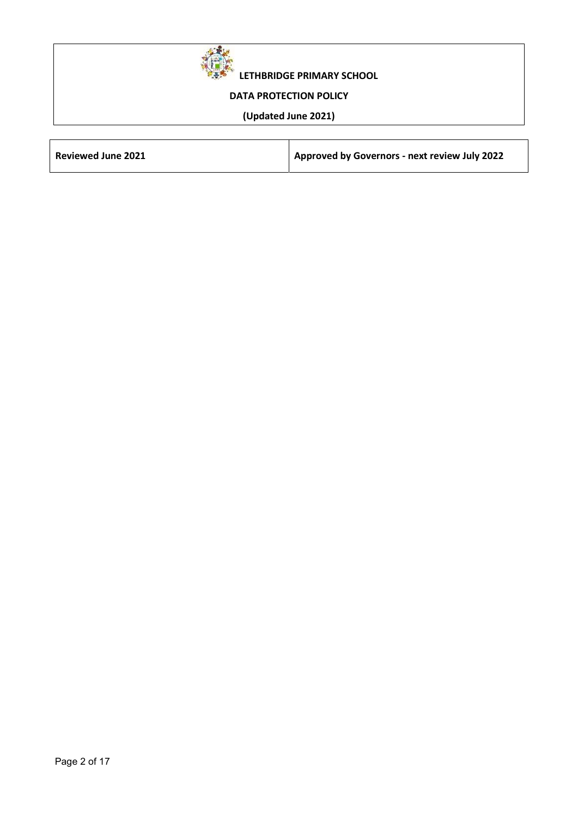

LETHBRIDGE PRIMARY SCHOOL

# DATA PROTECTION POLICY

# (Updated June 2021)

| <b>Reviewed June 2021</b> | Approved by Governors - next review July 2022 |
|---------------------------|-----------------------------------------------|
|                           |                                               |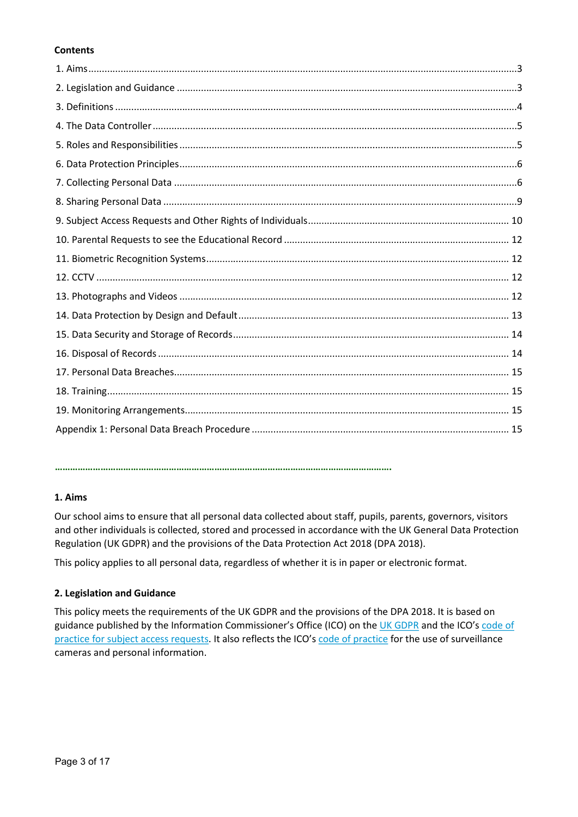# **Contents**

#### …………………………………………………………………………………………………………………….

### 1. Aims

Our school aims to ensure that all personal data collected about staff, pupils, parents, governors, visitors and other individuals is collected, stored and processed in accordance with the UK General Data Protection Regulation (UK GDPR) and the provisions of the Data Protection Act 2018 (DPA 2018).

This policy applies to all personal data, regardless of whether it is in paper or electronic format.

### 2. Legislation and Guidance

This policy meets the requirements of the UK GDPR and the provisions of the DPA 2018. It is based on guidance published by the Information Commissioner's Office (ICO) on the UK GDPR and the ICO's code of practice for subject access requests. It also reflects the ICO's code of practice for the use of surveillance cameras and personal information.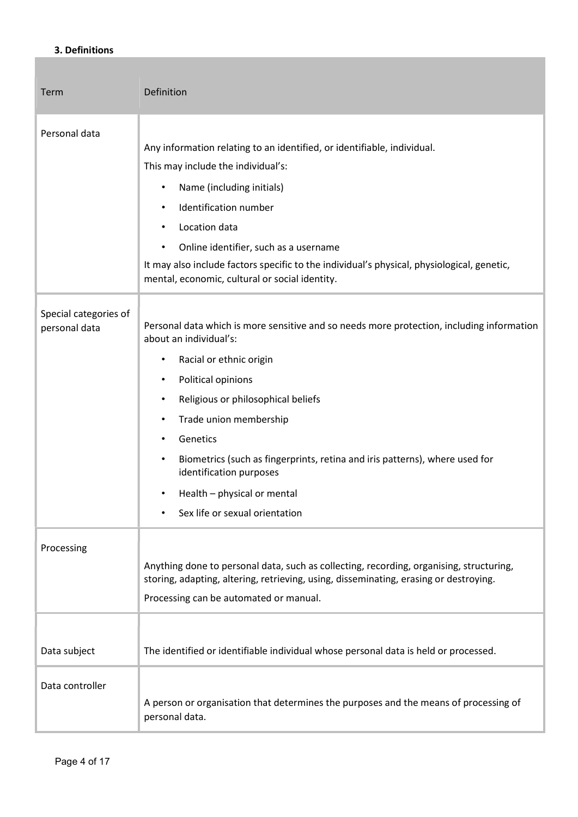# 3. Definitions

| Term                                   | Definition                                                                                                                                                                                                                                                                                                                                                                                                                                                                      |
|----------------------------------------|---------------------------------------------------------------------------------------------------------------------------------------------------------------------------------------------------------------------------------------------------------------------------------------------------------------------------------------------------------------------------------------------------------------------------------------------------------------------------------|
| Personal data                          | Any information relating to an identified, or identifiable, individual.<br>This may include the individual's:<br>Name (including initials)<br>$\bullet$<br>Identification number<br>Location data<br>Online identifier, such as a username<br>It may also include factors specific to the individual's physical, physiological, genetic,<br>mental, economic, cultural or social identity.                                                                                      |
| Special categories of<br>personal data | Personal data which is more sensitive and so needs more protection, including information<br>about an individual's:<br>Racial or ethnic origin<br>$\bullet$<br>Political opinions<br>$\bullet$<br>Religious or philosophical beliefs<br>$\bullet$<br>Trade union membership<br>$\bullet$<br>Genetics<br>Biometrics (such as fingerprints, retina and iris patterns), where used for<br>identification purposes<br>Health - physical or mental<br>Sex life or sexual orientation |
| Processing                             | Anything done to personal data, such as collecting, recording, organising, structuring,<br>storing, adapting, altering, retrieving, using, disseminating, erasing or destroying.<br>Processing can be automated or manual.                                                                                                                                                                                                                                                      |
| Data subject<br>Data controller        | The identified or identifiable individual whose personal data is held or processed.<br>A person or organisation that determines the purposes and the means of processing of                                                                                                                                                                                                                                                                                                     |
|                                        | personal data.                                                                                                                                                                                                                                                                                                                                                                                                                                                                  |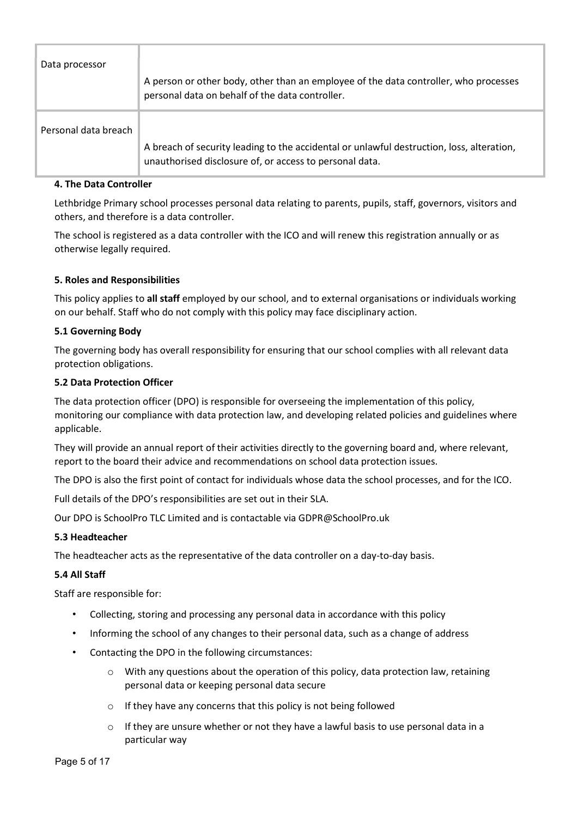| Data processor       | A person or other body, other than an employee of the data controller, who processes<br>personal data on behalf of the data controller.              |
|----------------------|------------------------------------------------------------------------------------------------------------------------------------------------------|
| Personal data breach | A breach of security leading to the accidental or unlawful destruction, loss, alteration,<br>unauthorised disclosure of, or access to personal data. |

### 4. The Data Controller

Lethbridge Primary school processes personal data relating to parents, pupils, staff, governors, visitors and others, and therefore is a data controller.

The school is registered as a data controller with the ICO and will renew this registration annually or as otherwise legally required.

### 5. Roles and Responsibilities

This policy applies to all staff employed by our school, and to external organisations or individuals working on our behalf. Staff who do not comply with this policy may face disciplinary action.

### 5.1 Governing Body

The governing body has overall responsibility for ensuring that our school complies with all relevant data protection obligations.

### 5.2 Data Protection Officer

The data protection officer (DPO) is responsible for overseeing the implementation of this policy, monitoring our compliance with data protection law, and developing related policies and guidelines where applicable.

They will provide an annual report of their activities directly to the governing board and, where relevant, report to the board their advice and recommendations on school data protection issues.

The DPO is also the first point of contact for individuals whose data the school processes, and for the ICO.

Full details of the DPO's responsibilities are set out in their SLA.

Our DPO is SchoolPro TLC Limited and is contactable via GDPR@SchoolPro.uk

### 5.3 Headteacher

The headteacher acts as the representative of the data controller on a day-to-day basis.

### 5.4 All Staff

Staff are responsible for:

- Collecting, storing and processing any personal data in accordance with this policy
- Informing the school of any changes to their personal data, such as a change of address
- Contacting the DPO in the following circumstances:
	- $\circ$  With any questions about the operation of this policy, data protection law, retaining personal data or keeping personal data secure
	- o If they have any concerns that this policy is not being followed
	- If they are unsure whether or not they have a lawful basis to use personal data in a particular way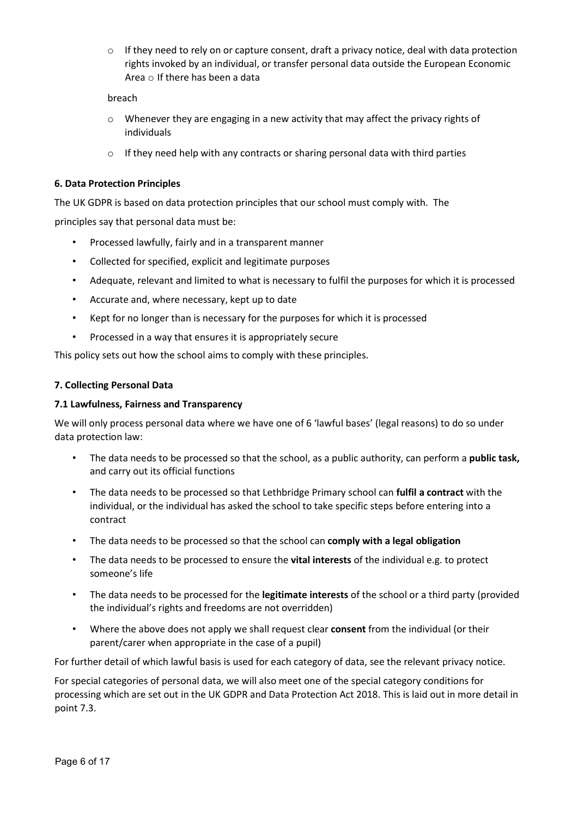$\circ$  If they need to rely on or capture consent, draft a privacy notice, deal with data protection rights invoked by an individual, or transfer personal data outside the European Economic Area o If there has been a data

breach

- $\circ$  Whenever they are engaging in a new activity that may affect the privacy rights of individuals
- o If they need help with any contracts or sharing personal data with third parties

# 6. Data Protection Principles

The UK GDPR is based on data protection principles that our school must comply with. The principles say that personal data must be:

- Processed lawfully, fairly and in a transparent manner
- Collected for specified, explicit and legitimate purposes
- Adequate, relevant and limited to what is necessary to fulfil the purposes for which it is processed
- Accurate and, where necessary, kept up to date
- Kept for no longer than is necessary for the purposes for which it is processed
- Processed in a way that ensures it is appropriately secure

This policy sets out how the school aims to comply with these principles.

### 7. Collecting Personal Data

### 7.1 Lawfulness, Fairness and Transparency

We will only process personal data where we have one of 6 'lawful bases' (legal reasons) to do so under data protection law:

- The data needs to be processed so that the school, as a public authority, can perform a **public task,** and carry out its official functions
- The data needs to be processed so that Lethbridge Primary school can fulfil a contract with the individual, or the individual has asked the school to take specific steps before entering into a contract
- The data needs to be processed so that the school can comply with a legal obligation
- The data needs to be processed to ensure the vital interests of the individual e.g. to protect someone's life
- The data needs to be processed for the legitimate interests of the school or a third party (provided the individual's rights and freedoms are not overridden)
- Where the above does not apply we shall request clear consent from the individual (or their parent/carer when appropriate in the case of a pupil)

For further detail of which lawful basis is used for each category of data, see the relevant privacy notice.

For special categories of personal data, we will also meet one of the special category conditions for processing which are set out in the UK GDPR and Data Protection Act 2018. This is laid out in more detail in point 7.3.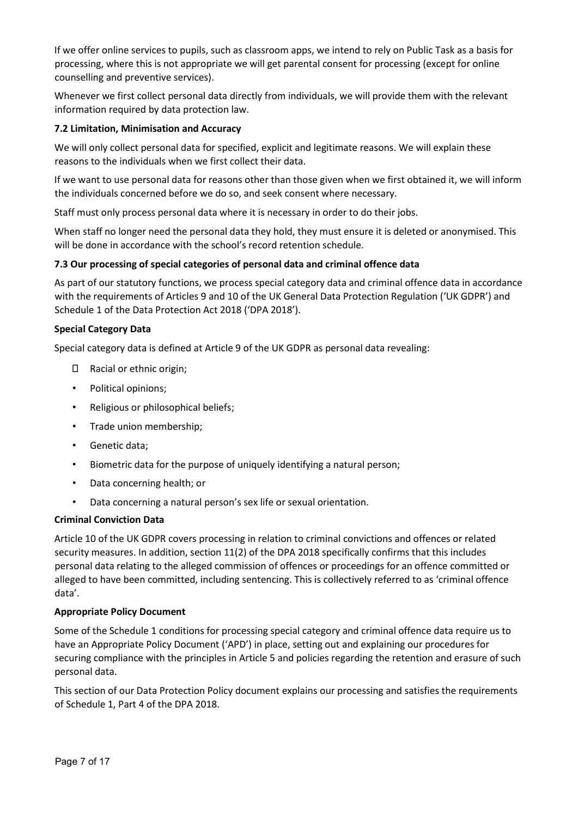If we offer online services to pupils, such as classroom apps, we intend to rely on Public Task as a basis for processing, where this is not appropriate we will get parental consent for processing (except for online counselling and preventive services).

Whenever we first collect personal data directly from individuals, we will provide them with the relevant information required by data protection law.

# 7.2 Limitation, Minimisation and Accuracy

We will only collect personal data for specified, explicit and legitimate reasons. We will explain these reasons to the individuals when we first collect their data.

If we want to use personal data for reasons other than those given when we first obtained it, we will inform the individuals concerned before we do so, and seek consent where necessary.

Staff must only process personal data where it is necessary in order to do their jobs.

When staff no longer need the personal data they hold, they must ensure it is deleted or anonymised. This will be done in accordance with the school's record retention schedule.

### 7.3 Our processing of special categories of personal data and criminal offence data

As part of our statutory functions, we process special category data and criminal offence data in accordance with the requirements of Articles 9 and 10 of the UK General Data Protection Regulation ('UK GDPR') and Schedule 1 of the Data Protection Act 2018 ('DPA 2018').

### Special Category Data

Special category data is defined at Article 9 of the UK GDPR as personal data revealing:

- Racial or ethnic origin;
- Political opinions;
- Religious or philosophical beliefs;
- Trade union membership;
- Genetic data;
- Biometric data for the purpose of uniquely identifying a natural person;
- Data concerning health; or
- Data concerning a natural person's sex life or sexual orientation.

### Criminal Conviction Data

Article 10 of the UK GDPR covers processing in relation to criminal convictions and offences or related security measures. In addition, section 11(2) of the DPA 2018 specifically confirms that this includes personal data relating to the alleged commission of offences or proceedings for an offence committed or alleged to have been committed, including sentencing. This is collectively referred to as 'criminal offence data'.

### Appropriate Policy Document

Some of the Schedule 1 conditions for processing special category and criminal offence data require us to have an Appropriate Policy Document ('APD') in place, setting out and explaining our procedures for securing compliance with the principles in Article 5 and policies regarding the retention and erasure of such personal data.

This section of our Data Protection Policy document explains our processing and satisfies the requirements of Schedule 1, Part 4 of the DPA 2018.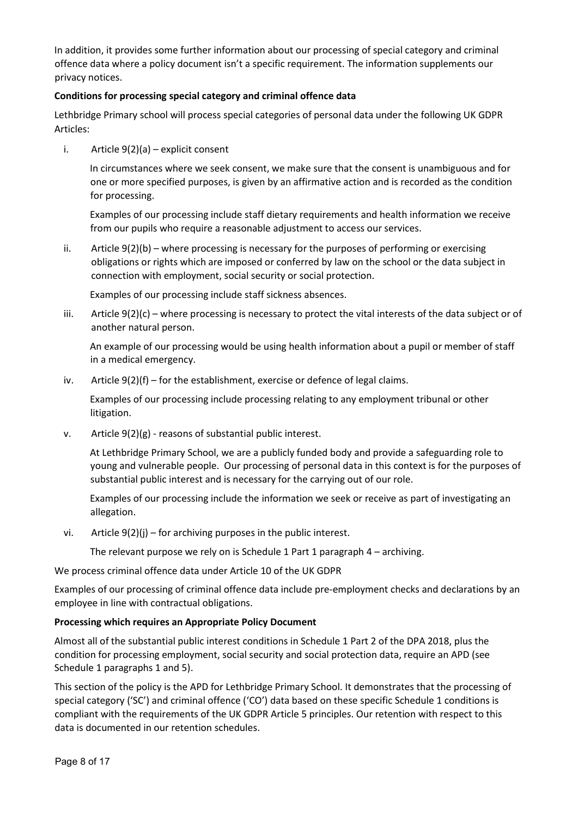In addition, it provides some further information about our processing of special category and criminal offence data where a policy document isn't a specific requirement. The information supplements our privacy notices.

# Conditions for processing special category and criminal offence data

Lethbridge Primary school will process special categories of personal data under the following UK GDPR Articles:

i. Article 9(2)(a) – explicit consent

In circumstances where we seek consent, we make sure that the consent is unambiguous and for one or more specified purposes, is given by an affirmative action and is recorded as the condition for processing.

Examples of our processing include staff dietary requirements and health information we receive from our pupils who require a reasonable adjustment to access our services.

ii. Article 9(2)(b) – where processing is necessary for the purposes of performing or exercising obligations or rights which are imposed or conferred by law on the school or the data subject in connection with employment, social security or social protection.

Examples of our processing include staff sickness absences.

iii. Article 9(2)(c) – where processing is necessary to protect the vital interests of the data subject or of another natural person.

An example of our processing would be using health information about a pupil or member of staff in a medical emergency.

iv. Article  $9(2)(f)$  – for the establishment, exercise or defence of legal claims.

Examples of our processing include processing relating to any employment tribunal or other litigation.

v. Article 9(2)(g) ‐ reasons of substantial public interest.

At Lethbridge Primary School, we are a publicly funded body and provide a safeguarding role to young and vulnerable people. Our processing of personal data in this context is for the purposes of substantial public interest and is necessary for the carrying out of our role.

Examples of our processing include the information we seek or receive as part of investigating an allegation.

vi. Article  $9(2)(i)$  – for archiving purposes in the public interest.

The relevant purpose we rely on is Schedule 1 Part 1 paragraph 4 – archiving.

We process criminal offence data under Article 10 of the UK GDPR

Examples of our processing of criminal offence data include pre‐employment checks and declarations by an employee in line with contractual obligations.

### Processing which requires an Appropriate Policy Document

Almost all of the substantial public interest conditions in Schedule 1 Part 2 of the DPA 2018, plus the condition for processing employment, social security and social protection data, require an APD (see Schedule 1 paragraphs 1 and 5).

This section of the policy is the APD for Lethbridge Primary School. It demonstrates that the processing of special category ('SC') and criminal offence ('CO') data based on these specific Schedule 1 conditions is compliant with the requirements of the UK GDPR Article 5 principles. Our retention with respect to this data is documented in our retention schedules.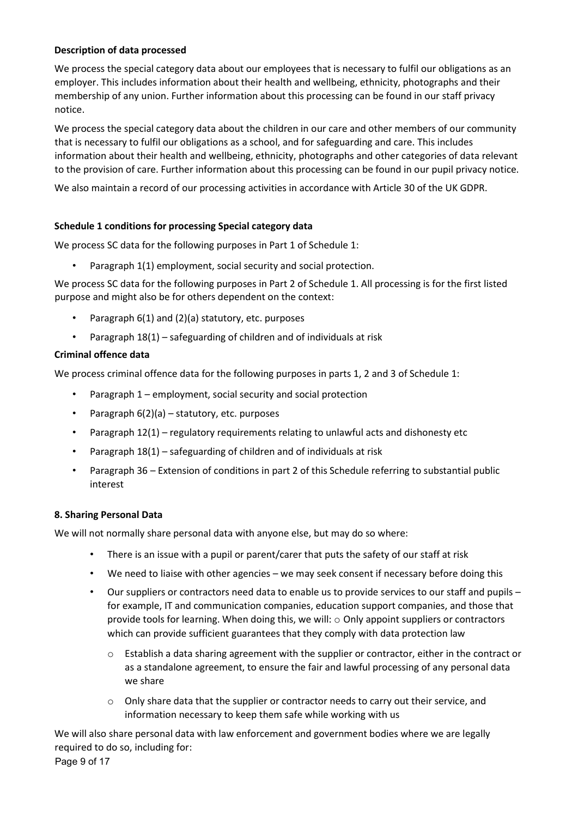# Description of data processed

We process the special category data about our employees that is necessary to fulfil our obligations as an employer. This includes information about their health and wellbeing, ethnicity, photographs and their membership of any union. Further information about this processing can be found in our staff privacy notice.

We process the special category data about the children in our care and other members of our community that is necessary to fulfil our obligations as a school, and for safeguarding and care. This includes information about their health and wellbeing, ethnicity, photographs and other categories of data relevant to the provision of care. Further information about this processing can be found in our pupil privacy notice.

We also maintain a record of our processing activities in accordance with Article 30 of the UK GDPR.

# Schedule 1 conditions for processing Special category data

We process SC data for the following purposes in Part 1 of Schedule 1:

Paragraph 1(1) employment, social security and social protection.

We process SC data for the following purposes in Part 2 of Schedule 1. All processing is for the first listed purpose and might also be for others dependent on the context:

- Paragraph 6(1) and (2)(a) statutory, etc. purposes
- Paragraph 18(1) safeguarding of children and of individuals at risk

### Criminal offence data

We process criminal offence data for the following purposes in parts 1, 2 and 3 of Schedule 1:

- Paragraph 1 employment, social security and social protection
- Paragraph  $6(2)(a)$  statutory, etc. purposes
- Paragraph 12(1) regulatory requirements relating to unlawful acts and dishonesty etc
- Paragraph 18(1) safeguarding of children and of individuals at risk
- Paragraph 36 Extension of conditions in part 2 of this Schedule referring to substantial public interest

### 8. Sharing Personal Data

We will not normally share personal data with anyone else, but may do so where:

- There is an issue with a pupil or parent/carer that puts the safety of our staff at risk
- We need to liaise with other agencies we may seek consent if necessary before doing this
- Our suppliers or contractors need data to enable us to provide services to our staff and pupils for example, IT and communication companies, education support companies, and those that provide tools for learning. When doing this, we will: o Only appoint suppliers or contractors which can provide sufficient guarantees that they comply with data protection law
	- $\circ$  Establish a data sharing agreement with the supplier or contractor, either in the contract or as a standalone agreement, to ensure the fair and lawful processing of any personal data we share
	- o Only share data that the supplier or contractor needs to carry out their service, and information necessary to keep them safe while working with us

We will also share personal data with law enforcement and government bodies where we are legally required to do so, including for:

Page 9 of 17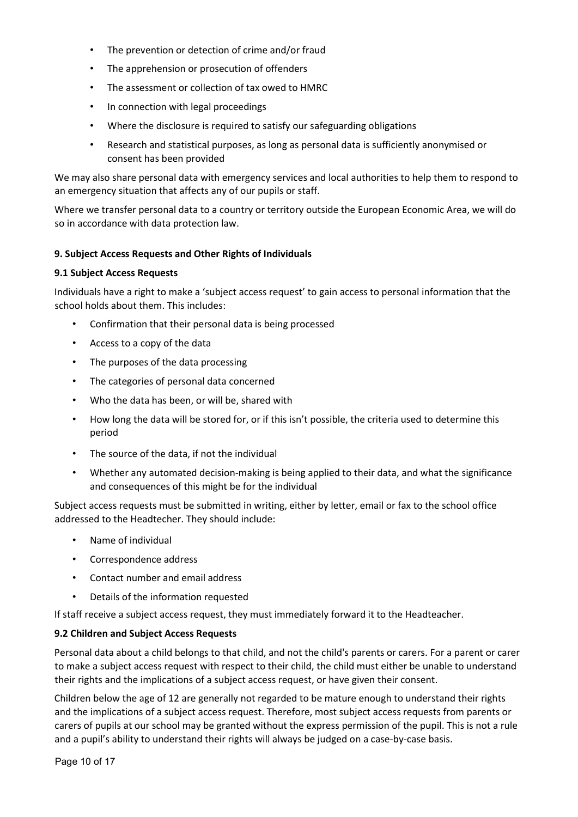- The prevention or detection of crime and/or fraud
- The apprehension or prosecution of offenders
- The assessment or collection of tax owed to HMRC
- In connection with legal proceedings
- Where the disclosure is required to satisfy our safeguarding obligations
- Research and statistical purposes, as long as personal data is sufficiently anonymised or consent has been provided

We may also share personal data with emergency services and local authorities to help them to respond to an emergency situation that affects any of our pupils or staff.

Where we transfer personal data to a country or territory outside the European Economic Area, we will do so in accordance with data protection law.

### 9. Subject Access Requests and Other Rights of Individuals

### 9.1 Subject Access Requests

Individuals have a right to make a 'subject access request' to gain access to personal information that the school holds about them. This includes:

- Confirmation that their personal data is being processed
- Access to a copy of the data
- The purposes of the data processing
- The categories of personal data concerned
- Who the data has been, or will be, shared with
- How long the data will be stored for, or if this isn't possible, the criteria used to determine this period
- The source of the data, if not the individual
- Whether any automated decision‐making is being applied to their data, and what the significance and consequences of this might be for the individual

Subject access requests must be submitted in writing, either by letter, email or fax to the school office addressed to the Headtecher. They should include:

- Name of individual
- Correspondence address
- Contact number and email address
- Details of the information requested

If staff receive a subject access request, they must immediately forward it to the Headteacher.

### 9.2 Children and Subject Access Requests

Personal data about a child belongs to that child, and not the child's parents or carers. For a parent or carer to make a subject access request with respect to their child, the child must either be unable to understand their rights and the implications of a subject access request, or have given their consent.

Children below the age of 12 are generally not regarded to be mature enough to understand their rights and the implications of a subject access request. Therefore, most subject access requests from parents or carers of pupils at our school may be granted without the express permission of the pupil. This is not a rule and a pupil's ability to understand their rights will always be judged on a case-by-case basis.

Page 10 of 17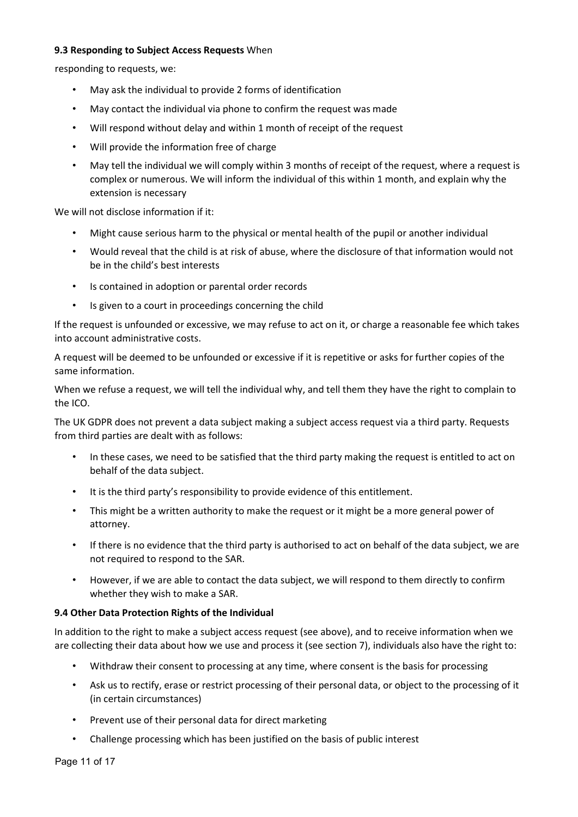### 9.3 Responding to Subiect Access Requests When

responding to requests, we:

- May ask the individual to provide 2 forms of identification
- May contact the individual via phone to confirm the request was made
- Will respond without delay and within 1 month of receipt of the request
- Will provide the information free of charge
- May tell the individual we will comply within 3 months of receipt of the request, where a request is complex or numerous. We will inform the individual of this within 1 month, and explain why the extension is necessary

We will not disclose information if it:

- Might cause serious harm to the physical or mental health of the pupil or another individual
- Would reveal that the child is at risk of abuse, where the disclosure of that information would not be in the child's best interests
- Is contained in adoption or parental order records
- Is given to a court in proceedings concerning the child

If the request is unfounded or excessive, we may refuse to act on it, or charge a reasonable fee which takes into account administrative costs.

A request will be deemed to be unfounded or excessive if it is repetitive or asks for further copies of the same information.

When we refuse a request, we will tell the individual why, and tell them they have the right to complain to the ICO.

The UK GDPR does not prevent a data subject making a subject access request via a third party. Requests from third parties are dealt with as follows:

- In these cases, we need to be satisfied that the third party making the request is entitled to act on behalf of the data subject.
- It is the third party's responsibility to provide evidence of this entitlement.
- This might be a written authority to make the request or it might be a more general power of attorney.
- If there is no evidence that the third party is authorised to act on behalf of the data subject, we are not required to respond to the SAR.
- However, if we are able to contact the data subject, we will respond to them directly to confirm whether they wish to make a SAR.

# 9.4 Other Data Protection Rights of the Individual

In addition to the right to make a subject access request (see above), and to receive information when we are collecting their data about how we use and process it (see section 7), individuals also have the right to:

- Withdraw their consent to processing at any time, where consent is the basis for processing
- Ask us to rectify, erase or restrict processing of their personal data, or object to the processing of it (in certain circumstances)
- Prevent use of their personal data for direct marketing
- Challenge processing which has been justified on the basis of public interest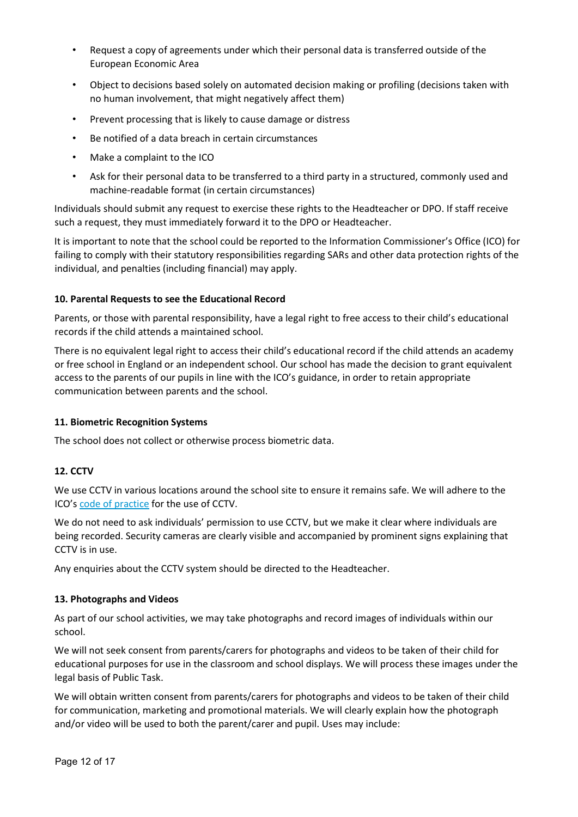- Request a copy of agreements under which their personal data is transferred outside of the European Economic Area
- Object to decisions based solely on automated decision making or profiling (decisions taken with no human involvement, that might negatively affect them)
- Prevent processing that is likely to cause damage or distress
- Be notified of a data breach in certain circumstances
- Make a complaint to the ICO
- Ask for their personal data to be transferred to a third party in a structured, commonly used and machine‐readable format (in certain circumstances)

Individuals should submit any request to exercise these rights to the Headteacher or DPO. If staff receive such a request, they must immediately forward it to the DPO or Headteacher.

It is important to note that the school could be reported to the Information Commissioner's Office (ICO) for failing to comply with their statutory responsibilities regarding SARs and other data protection rights of the individual, and penalties (including financial) may apply.

### 10. Parental Requests to see the Educational Record

Parents, or those with parental responsibility, have a legal right to free access to their child's educational records if the child attends a maintained school.

There is no equivalent legal right to access their child's educational record if the child attends an academy or free school in England or an independent school. Our school has made the decision to grant equivalent access to the parents of our pupils in line with the ICO's guidance, in order to retain appropriate communication between parents and the school.

### 11. Biometric Recognition Systems

The school does not collect or otherwise process biometric data.

# 12. CCTV

We use CCTV in various locations around the school site to ensure it remains safe. We will adhere to the ICO's code of practice for the use of CCTV.

We do not need to ask individuals' permission to use CCTV, but we make it clear where individuals are being recorded. Security cameras are clearly visible and accompanied by prominent signs explaining that CCTV is in use.

Any enquiries about the CCTV system should be directed to the Headteacher.

### 13. Photographs and Videos

As part of our school activities, we may take photographs and record images of individuals within our school.

We will not seek consent from parents/carers for photographs and videos to be taken of their child for educational purposes for use in the classroom and school displays. We will process these images under the legal basis of Public Task.

We will obtain written consent from parents/carers for photographs and videos to be taken of their child for communication, marketing and promotional materials. We will clearly explain how the photograph and/or video will be used to both the parent/carer and pupil. Uses may include: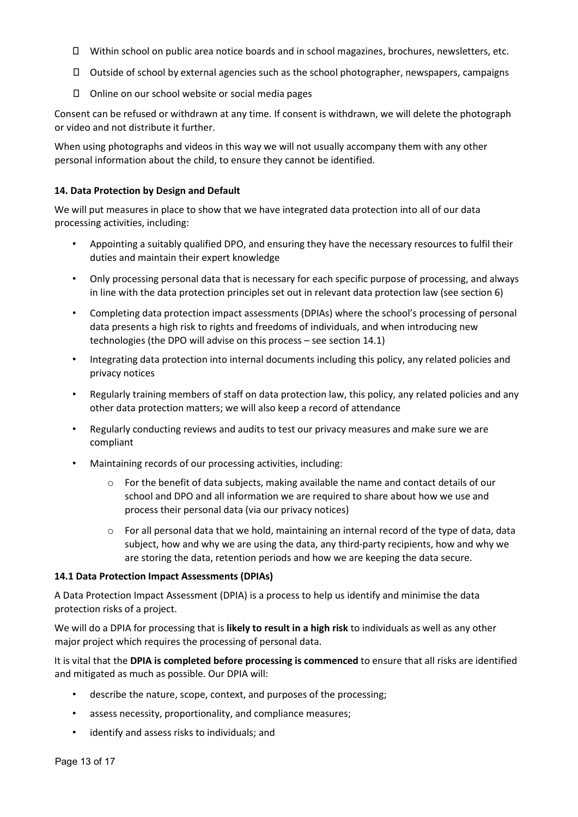- Within school on public area notice boards and in school magazines, brochures, newsletters, etc.
- $\Box$  Outside of school by external agencies such as the school photographer, newspapers, campaigns
- $\square$  Online on our school website or social media pages

Consent can be refused or withdrawn at any time. If consent is withdrawn, we will delete the photograph or video and not distribute it further.

When using photographs and videos in this way we will not usually accompany them with any other personal information about the child, to ensure they cannot be identified.

### 14. Data Protection by Design and Default

We will put measures in place to show that we have integrated data protection into all of our data processing activities, including:

- Appointing a suitably qualified DPO, and ensuring they have the necessary resources to fulfil their duties and maintain their expert knowledge
- Only processing personal data that is necessary for each specific purpose of processing, and always in line with the data protection principles set out in relevant data protection law (see section 6)
- Completing data protection impact assessments (DPIAs) where the school's processing of personal data presents a high risk to rights and freedoms of individuals, and when introducing new technologies (the DPO will advise on this process – see section 14.1)
- Integrating data protection into internal documents including this policy, any related policies and privacy notices
- Regularly training members of staff on data protection law, this policy, any related policies and any other data protection matters; we will also keep a record of attendance
- Regularly conducting reviews and audits to test our privacy measures and make sure we are compliant
- Maintaining records of our processing activities, including:
	- o For the benefit of data subjects, making available the name and contact details of our school and DPO and all information we are required to share about how we use and process their personal data (via our privacy notices)
	- $\circ$  For all personal data that we hold, maintaining an internal record of the type of data, data subject, how and why we are using the data, any third‐party recipients, how and why we are storing the data, retention periods and how we are keeping the data secure.

### 14.1 Data Protection Impact Assessments (DPIAs)

A Data Protection Impact Assessment (DPIA) is a process to help us identify and minimise the data protection risks of a project.

We will do a DPIA for processing that is likely to result in a high risk to individuals as well as any other major project which requires the processing of personal data.

It is vital that the DPIA is completed before processing is commenced to ensure that all risks are identified and mitigated as much as possible. Our DPIA will:

- describe the nature, scope, context, and purposes of the processing;
- assess necessity, proportionality, and compliance measures;
- identify and assess risks to individuals; and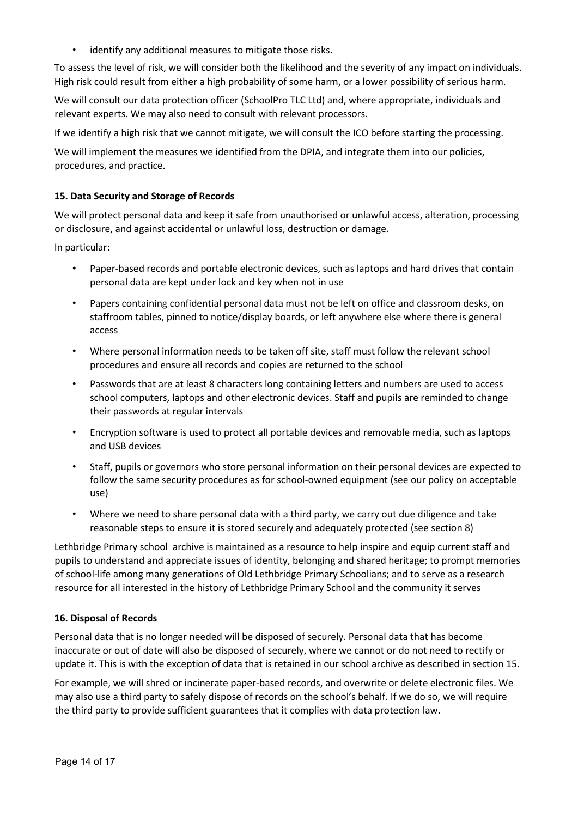• identify any additional measures to mitigate those risks.

To assess the level of risk, we will consider both the likelihood and the severity of any impact on individuals. High risk could result from either a high probability of some harm, or a lower possibility of serious harm.

We will consult our data protection officer (SchoolPro TLC Ltd) and, where appropriate, individuals and relevant experts. We may also need to consult with relevant processors.

If we identify a high risk that we cannot mitigate, we will consult the ICO before starting the processing.

We will implement the measures we identified from the DPIA, and integrate them into our policies, procedures, and practice.

### 15. Data Security and Storage of Records

We will protect personal data and keep it safe from unauthorised or unlawful access, alteration, processing or disclosure, and against accidental or unlawful loss, destruction or damage.

In particular:

- Paper-based records and portable electronic devices, such as laptops and hard drives that contain personal data are kept under lock and key when not in use
- Papers containing confidential personal data must not be left on office and classroom desks, on staffroom tables, pinned to notice/display boards, or left anywhere else where there is general access
- Where personal information needs to be taken off site, staff must follow the relevant school procedures and ensure all records and copies are returned to the school
- Passwords that are at least 8 characters long containing letters and numbers are used to access school computers, laptops and other electronic devices. Staff and pupils are reminded to change their passwords at regular intervals
- Encryption software is used to protect all portable devices and removable media, such as laptops and USB devices
- Staff, pupils or governors who store personal information on their personal devices are expected to follow the same security procedures as for school‐owned equipment (see our policy on acceptable use)
- Where we need to share personal data with a third party, we carry out due diligence and take reasonable steps to ensure it is stored securely and adequately protected (see section 8)

Lethbridge Primary school archive is maintained as a resource to help inspire and equip current staff and pupils to understand and appreciate issues of identity, belonging and shared heritage; to prompt memories of school‐life among many generations of Old Lethbridge Primary Schoolians; and to serve as a research resource for all interested in the history of Lethbridge Primary School and the community it serves

### 16. Disposal of Records

Personal data that is no longer needed will be disposed of securely. Personal data that has become inaccurate or out of date will also be disposed of securely, where we cannot or do not need to rectify or update it. This is with the exception of data that is retained in our school archive as described in section 15.

For example, we will shred or incinerate paper‐based records, and overwrite or delete electronic files. We may also use a third party to safely dispose of records on the school's behalf. If we do so, we will require the third party to provide sufficient guarantees that it complies with data protection law.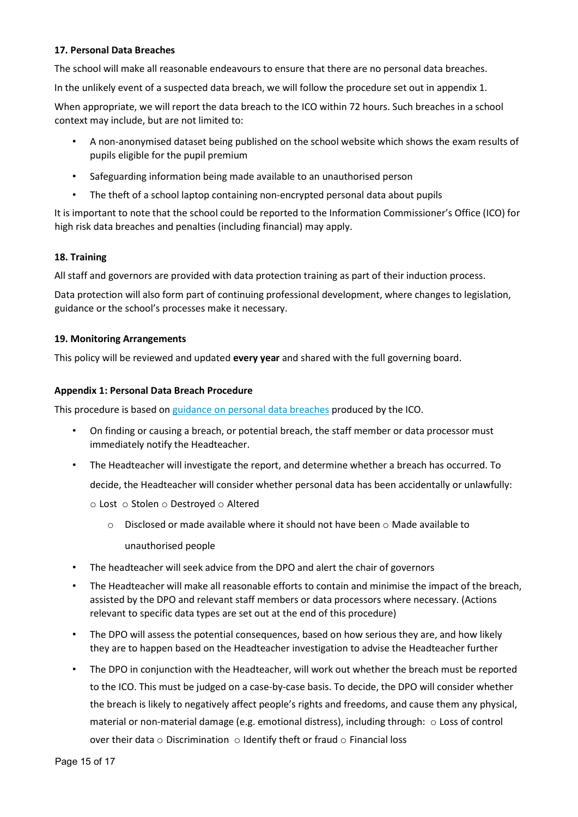### 17. Personal Data Breaches

The school will make all reasonable endeavours to ensure that there are no personal data breaches.

In the unlikely event of a suspected data breach, we will follow the procedure set out in appendix 1.

When appropriate, we will report the data breach to the ICO within 72 hours. Such breaches in a school context may include, but are not limited to:

- A non‐anonymised dataset being published on the school website which shows the exam results of pupils eligible for the pupil premium
- Safeguarding information being made available to an unauthorised person
- The theft of a school laptop containing non-encrypted personal data about pupils

It is important to note that the school could be reported to the Information Commissioner's Office (ICO) for high risk data breaches and penalties (including financial) may apply.

### 18. Training

All staff and governors are provided with data protection training as part of their induction process.

Data protection will also form part of continuing professional development, where changes to legislation, guidance or the school's processes make it necessary.

### 19. Monitoring Arrangements

This policy will be reviewed and updated every year and shared with the full governing board.

### Appendix 1: Personal Data Breach Procedure

This procedure is based on guidance on personal data breaches produced by the ICO.

- On finding or causing a breach, or potential breach, the staff member or data processor must immediately notify the Headteacher.
- The Headteacher will investigate the report, and determine whether a breach has occurred. To decide, the Headteacher will consider whether personal data has been accidentally or unlawfully:

o Lost o Stolen o Destroyed o Altered

- $\circ$  Disclosed or made available where it should not have been  $\circ$  Made available to unauthorised people
- The headteacher will seek advice from the DPO and alert the chair of governors
- The Headteacher will make all reasonable efforts to contain and minimise the impact of the breach, assisted by the DPO and relevant staff members or data processors where necessary. (Actions relevant to specific data types are set out at the end of this procedure)
- The DPO will assess the potential consequences, based on how serious they are, and how likely they are to happen based on the Headteacher investigation to advise the Headteacher further
- The DPO in conjunction with the Headteacher, will work out whether the breach must be reported to the ICO. This must be judged on a case‐by‐case basis. To decide, the DPO will consider whether the breach is likely to negatively affect people's rights and freedoms, and cause them any physical, material or non‐material damage (e.g. emotional distress), including through: o Loss of control over their data  $\circ$  Discrimination  $\circ$  Identify theft or fraud  $\circ$  Financial loss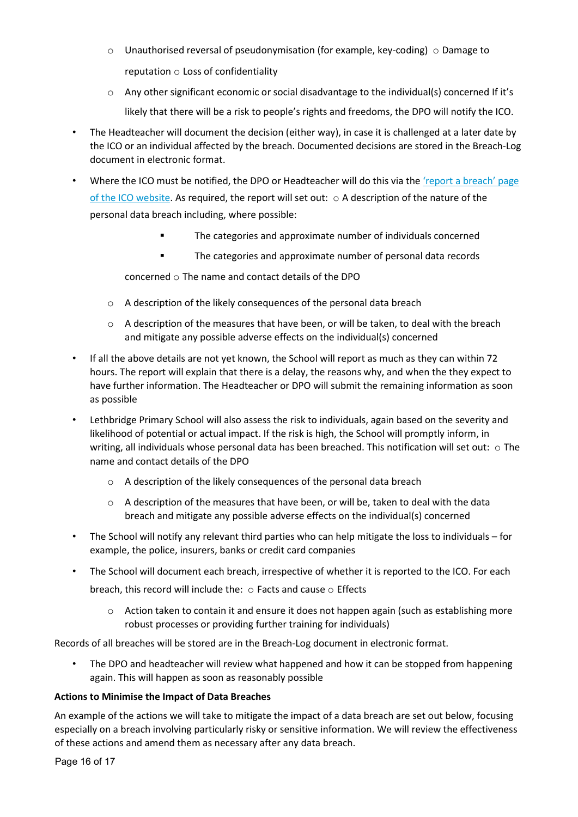- $\circ$  Unauthorised reversal of pseudonymisation (for example, key-coding)  $\circ$  Damage to reputation  $\circ$  Loss of confidentiality
- o Any other significant economic or social disadvantage to the individual(s) concerned If it's likely that there will be a risk to people's rights and freedoms, the DPO will notify the ICO.
- The Headteacher will document the decision (either way), in case it is challenged at a later date by the ICO or an individual affected by the breach. Documented decisions are stored in the Breach‐Log document in electronic format.
- Where the ICO must be notified, the DPO or Headteacher will do this via the 'report a breach' page of the ICO website. As required, the report will set out:  $\circ$  A description of the nature of the personal data breach including, where possible:
	- The categories and approximate number of individuals concerned
	- The categories and approximate number of personal data records

concerned o The name and contact details of the DPO

- o A description of the likely consequences of the personal data breach
- $\circ$  A description of the measures that have been, or will be taken, to deal with the breach and mitigate any possible adverse effects on the individual(s) concerned
- If all the above details are not yet known, the School will report as much as they can within 72 hours. The report will explain that there is a delay, the reasons why, and when the they expect to have further information. The Headteacher or DPO will submit the remaining information as soon as possible
- Lethbridge Primary School will also assess the risk to individuals, again based on the severity and likelihood of potential or actual impact. If the risk is high, the School will promptly inform, in writing, all individuals whose personal data has been breached. This notification will set out: o The name and contact details of the DPO
	- o A description of the likely consequences of the personal data breach
	- $\circ$  A description of the measures that have been, or will be, taken to deal with the data breach and mitigate any possible adverse effects on the individual(s) concerned
- The School will notify any relevant third parties who can help mitigate the loss to individuals for example, the police, insurers, banks or credit card companies
- The School will document each breach, irrespective of whether it is reported to the ICO. For each breach, this record will include the: o Facts and cause o Effects
	- $\circ$  Action taken to contain it and ensure it does not happen again (such as establishing more robust processes or providing further training for individuals)

Records of all breaches will be stored are in the Breach‐Log document in electronic format.

• The DPO and headteacher will review what happened and how it can be stopped from happening again. This will happen as soon as reasonably possible

# Actions to Minimise the Impact of Data Breaches

An example of the actions we will take to mitigate the impact of a data breach are set out below, focusing especially on a breach involving particularly risky or sensitive information. We will review the effectiveness of these actions and amend them as necessary after any data breach.